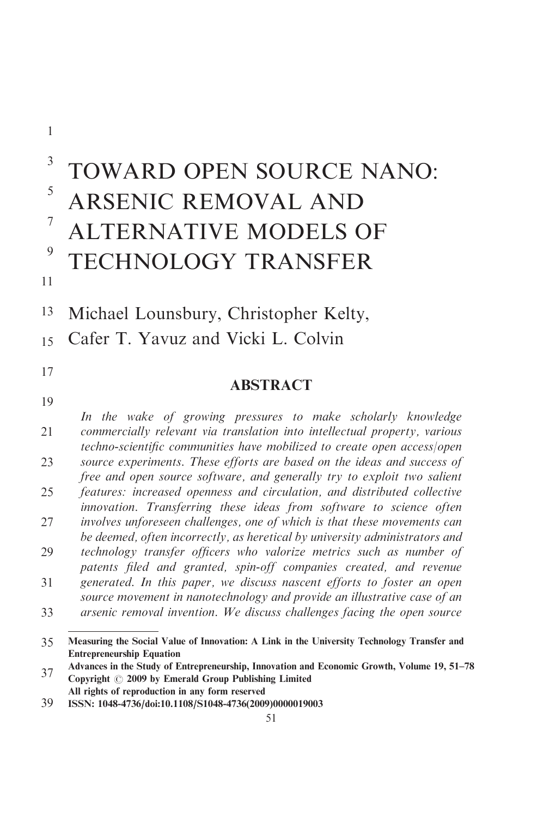# TOWARD OPEN SOURCE NANO: ARSENIC REMOVAL AND ALTERNATIVE MODELS OF TECHNOLOGY TRANSFER 3 5 7 9

11

1

Michael Lounsbury, Christopher Kelty, 13

Cafer T. Yavuz and Vicki L. Colvin 15

# ABSTRACT

- 17
- 19

innovation. Transferring these ideas from software to science often involves unforeseen challenges, one of which is that these movements can be deemed, often incorrectly, as heretical by university administrators and 27

technology transfer officers who valorize metrics such as number of patents filed and granted, spin-off companies created, and revenue 29

generated. In this paper, we discuss nascent efforts to foster an open source movement in nanotechnology and provide an illustrative case of an 31

In the wake of growing pressures to make scholarly knowledge commercially relevant via translation into intellectual property, various techno-scientific communities have mobilized to create open access/open source experiments. These efforts are based on the ideas and success of free and open source software, and generally try to exploit two salient features: increased openness and circulation, and distributed collective 21 23 25

arsenic removal invention. We discuss challenges facing the open source 33

<sup>35</sup> Measuring the Social Value of Innovation: A Link in the University Technology Transfer and Entrepreneurship Equation

<sup>37</sup> Advances in the Study of Entrepreneurship, Innovation and Economic Growth, Volume 19, 51–78 Copyright  $\odot$  2009 by Emerald Group Publishing Limited All rights of reproduction in any form reserved

<sup>39</sup> ISSN: 1048-4736/doi:10.1108/S1048-4736(2009)0000019003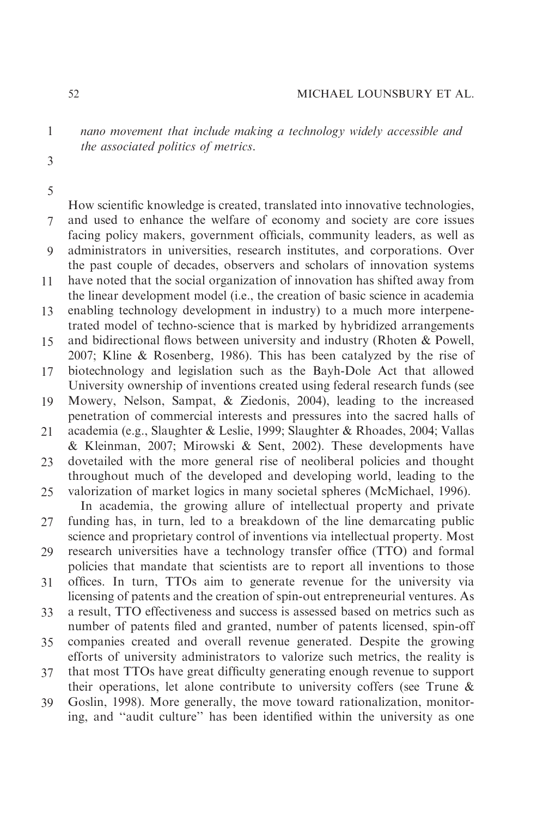nano movement that include making a technology widely accessible and the associated politics of metrics. 1

- 3
- 5

How scientific knowledge is created, translated into innovative technologies, and used to enhance the welfare of economy and society are core issues facing policy makers, government officials, community leaders, as well as administrators in universities, research institutes, and corporations. Over the past couple of decades, observers and scholars of innovation systems have noted that the social organization of innovation has shifted away from the linear development model (i.e., the creation of basic science in academia enabling technology development in industry) to a much more interpenetrated model of techno-science that is marked by hybridized arrangements and bidirectional flows between university and industry (Rhoten & Powell, 2007; Kline & Rosenberg, 1986). This has been catalyzed by the rise of biotechnology and legislation such as the Bayh-Dole Act that allowed University ownership of inventions created using federal research funds (see Mowery, Nelson, Sampat, & Ziedonis, 2004), leading to the increased penetration of commercial interests and pressures into the sacred halls of academia (e.g., Slaughter & Leslie, 1999; Slaughter & Rhoades, 2004; Vallas & Kleinman, 2007; Mirowski & Sent, 2002). These developments have dovetailed with the more general rise of neoliberal policies and thought throughout much of the developed and developing world, leading to the valorization of market logics in many societal spheres (McMichael, 1996). In academia, the growing allure of intellectual property and private funding has, in turn, led to a breakdown of the line demarcating public science and proprietary control of inventions via intellectual property. Most research universities have a technology transfer office (TTO) and formal policies that mandate that scientists are to report all inventions to those offices. In turn, TTOs aim to generate revenue for the university via licensing of patents and the creation of spin-out entrepreneurial ventures. As a result, TTO effectiveness and success is assessed based on metrics such as number of patents filed and granted, number of patents licensed, spin-off companies created and overall revenue generated. Despite the growing efforts of university administrators to valorize such metrics, the reality is that most TTOs have great difficulty generating enough revenue to support their operations, let alone contribute to university coffers (see Trune & Goslin, 1998). More generally, the move toward rationalization, monitoring, and ''audit culture'' has been identified within the university as one 7 9 11 13 15 17 19 21 23 25 27 29 31 33 35 37 39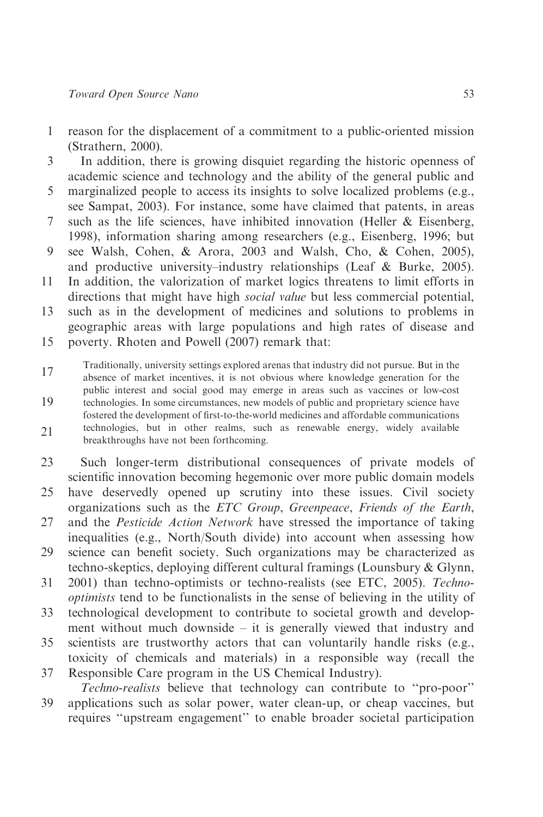- reason for the displacement of a commitment to a public-oriented mission (Strathern, 2000). 1
- In addition, there is growing disquiet regarding the historic openness of academic science and technology and the ability of the general public and 3
- marginalized people to access its insights to solve localized problems (e.g., see Sampat, 2003). For instance, some have claimed that patents, in areas 5
- such as the life sciences, have inhibited innovation (Heller & Eisenberg, 1998), information sharing among researchers (e.g., Eisenberg, 1996; but 7
- see Walsh, Cohen, & Arora, 2003 and Walsh, Cho, & Cohen, 2005), and productive university–industry relationships (Leaf & Burke, 2005). 9
- In addition, the valorization of market logics threatens to limit efforts in directions that might have high social value but less commercial potential, 11
- such as in the development of medicines and solutions to problems in geographic areas with large populations and high rates of disease and 13
- poverty. Rhoten and Powell (2007) remark that: 15
- Traditionally, university settings explored arenas that industry did not pursue. But in the absence of market incentives, it is not obvious where knowledge generation for the public interest and social good may emerge in areas such as vaccines or low-cost technologies. In some circumstances, new models of public and proprietary science have fostered the development of first-to-the-world medicines and affordable communications technologies, but in other realms, such as renewable energy, widely available 17 19 21
- breakthroughs have not been forthcoming.
- Such longer-term distributional consequences of private models of scientific innovation becoming hegemonic over more public domain models 23
- have deservedly opened up scrutiny into these issues. Civil society organizations such as the ETC Group, Greenpeace, Friends of the Earth, 25
- and the Pesticide Action Network have stressed the importance of taking inequalities (e.g., North/South divide) into account when assessing how 27
- science can benefit society. Such organizations may be characterized as techno-skeptics, deploying different cultural framings (Lounsbury & Glynn, 29
- 2001) than techno-optimists or techno-realists (see ETC, 2005). Technooptimists tend to be functionalists in the sense of believing in the utility of 31
- technological development to contribute to societal growth and development without much downside – it is generally viewed that industry and 33
- scientists are trustworthy actors that can voluntarily handle risks (e.g., toxicity of chemicals and materials) in a responsible way (recall the 35
- Responsible Care program in the US Chemical Industry). Techno-realists believe that technology can contribute to ''pro-poor'' 37
- applications such as solar power, water clean-up, or cheap vaccines, but requires ''upstream engagement'' to enable broader societal participation 39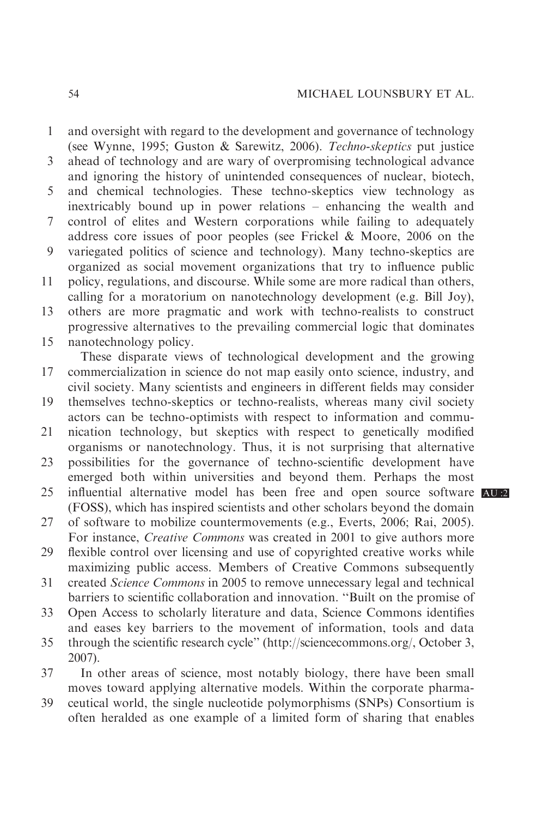and oversight with regard to the development and governance of technology (see Wynne, 1995; Guston & Sarewitz, 2006). Techno-skeptics put justice 1

- ahead of technology and are wary of overpromising technological advance and ignoring the history of unintended consequences of nuclear, biotech, 3
- and chemical technologies. These techno-skeptics view technology as inextricably bound up in power relations – enhancing the wealth and 5
- control of elites and Western corporations while failing to adequately address core issues of poor peoples (see Frickel & Moore, 2006 on the 7
- variegated politics of science and technology). Many techno-skeptics are organized as social movement organizations that try to influence public 9
- policy, regulations, and discourse. While some are more radical than others, calling for a moratorium on nanotechnology development (e.g. Bill Joy), 11
- others are more pragmatic and work with techno-realists to construct progressive alternatives to the prevailing commercial logic that dominates 13

nanotechnology policy. 15

These disparate views of technological development and the growing commercialization in science do not map easily onto science, industry, and civil society. Many scientists and engineers in different fields may consider 17

- themselves techno-skeptics or techno-realists, whereas many civil society actors can be techno-optimists with respect to information and commu-19
- nication technology, but skeptics with respect to genetically modified organisms or nanotechnology. Thus, it is not surprising that alternative 21
- possibilities for the governance of techno-scientific development have emerged both within universities and beyond them. Perhaps the most 23
- influential alternative model has been free and open source software  $\overline{\mathbf{A}U}$ (FOSS), which has inspired scientists and other scholars beyond the domain 25
- of software to mobilize countermovements (e.g., Everts, 2006; Rai, 2005). For instance, Creative Commons was created in 2001 to give authors more 27
- flexible control over licensing and use of copyrighted creative works while maximizing public access. Members of Creative Commons subsequently 29
- created Science Commons in 2005 to remove unnecessary legal and technical barriers to scientific collaboration and innovation. ''Built on the promise of 31
- Open Access to scholarly literature and data, Science Commons identifies and eases key barriers to the movement of information, tools and data 33
- through the scientific research cycle'' (http://sciencecommons.org/, October 3, 2007). 35
- In other areas of science, most notably biology, there have been small moves toward applying alternative models. Within the corporate pharma-37
- ceutical world, the single nucleotide polymorphisms (SNPs) Consortium is often heralded as one example of a limited form of sharing that enables 39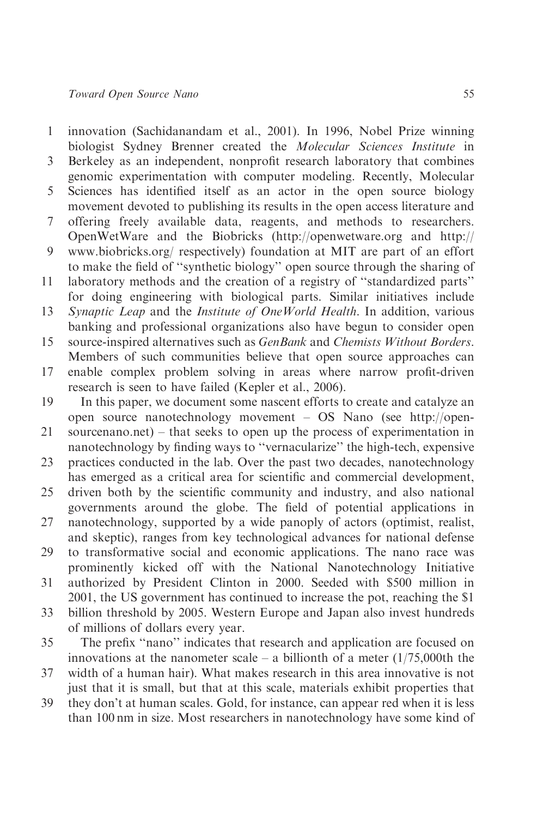- innovation (Sachidanandam et al., 2001). In 1996, Nobel Prize winning biologist Sydney Brenner created the Molecular Sciences Institute in 1
- Berkeley as an independent, nonprofit research laboratory that combines genomic experimentation with computer modeling. Recently, Molecular 3
- Sciences has identified itself as an actor in the open source biology movement devoted to publishing its results in the open access literature and 5
- offering freely available data, reagents, and methods to researchers. OpenWetWare and the Biobricks (http://openwetware.org and http:// 7
- www.biobricks.org/ respectively) foundation at MIT are part of an effort to make the field of ''synthetic biology'' open source through the sharing of 9
- laboratory methods and the creation of a registry of ''standardized parts'' for doing engineering with biological parts. Similar initiatives include 11
- Synaptic Leap and the *Institute of OneWorld Health*. In addition, various banking and professional organizations also have begun to consider open 13
- source-inspired alternatives such as GenBank and Chemists Without Borders. Members of such communities believe that open source approaches can 15
- enable complex problem solving in areas where narrow profit-driven research is seen to have failed (Kepler et al., 2006). 17
- In this paper, we document some nascent efforts to create and catalyze an open source nanotechnology movement – OS Nano (see http://open-19
- sourcenano.net) that seeks to open up the process of experimentation in nanotechnology by finding ways to ''vernacularize'' the high-tech, expensive 21
- practices conducted in the lab. Over the past two decades, nanotechnology has emerged as a critical area for scientific and commercial development, 23
- driven both by the scientific community and industry, and also national governments around the globe. The field of potential applications in 25
- nanotechnology, supported by a wide panoply of actors (optimist, realist, and skeptic), ranges from key technological advances for national defense 27
- to transformative social and economic applications. The nano race was prominently kicked off with the National Nanotechnology Initiative 29
- authorized by President Clinton in 2000. Seeded with \$500 million in 2001, the US government has continued to increase the pot, reaching the \$1 31
- billion threshold by 2005. Western Europe and Japan also invest hundreds of millions of dollars every year. 33
- The prefix ''nano'' indicates that research and application are focused on innovations at the nanometer scale – a billionth of a meter  $(1/75,000$ th the 35
- width of a human hair). What makes research in this area innovative is not just that it is small, but that at this scale, materials exhibit properties that 37
- they don't at human scales. Gold, for instance, can appear red when it is less than 100 nm in size. Most researchers in nanotechnology have some kind of 39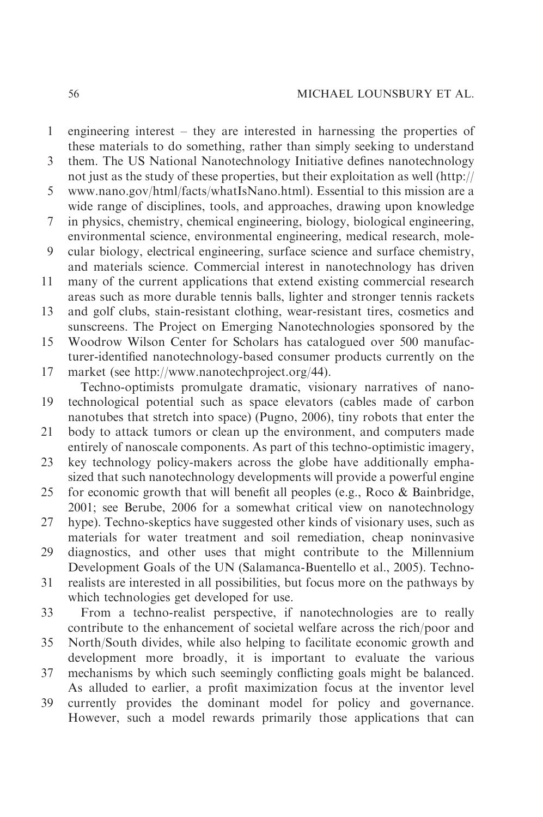- engineering interest they are interested in harnessing the properties of these materials to do something, rather than simply seeking to understand 1
- them. The US National Nanotechnology Initiative defines nanotechnology not just as the study of these properties, but their exploitation as well (http:// 3
- www.nano.gov/html/facts/whatIsNano.html). Essential to this mission are a wide range of disciplines, tools, and approaches, drawing upon knowledge 5
- in physics, chemistry, chemical engineering, biology, biological engineering, environmental science, environmental engineering, medical research, mole-7
- cular biology, electrical engineering, surface science and surface chemistry, and materials science. Commercial interest in nanotechnology has driven 9
- many of the current applications that extend existing commercial research areas such as more durable tennis balls, lighter and stronger tennis rackets 11
- and golf clubs, stain-resistant clothing, wear-resistant tires, cosmetics and sunscreens. The Project on Emerging Nanotechnologies sponsored by the 13
- Woodrow Wilson Center for Scholars has catalogued over 500 manufacturer-identified nanotechnology-based consumer products currently on the 15
- market (see http://www.nanotechproject.org/44). Techno-optimists promulgate dramatic, visionary narratives of nano-17
- technological potential such as space elevators (cables made of carbon nanotubes that stretch into space) (Pugno, 2006), tiny robots that enter the 19
- body to attack tumors or clean up the environment, and computers made entirely of nanoscale components. As part of this techno-optimistic imagery, 21
- key technology policy-makers across the globe have additionally emphasized that such nanotechnology developments will provide a powerful engine 23
- for economic growth that will benefit all peoples (e.g., Roco & Bainbridge, 2001; see Berube, 2006 for a somewhat critical view on nanotechnology 25
- hype). Techno-skeptics have suggested other kinds of visionary uses, such as materials for water treatment and soil remediation, cheap noninvasive 27
- diagnostics, and other uses that might contribute to the Millennium Development Goals of the UN (Salamanca-Buentello et al., 2005). Techno-29
- realists are interested in all possibilities, but focus more on the pathways by which technologies get developed for use. 31
- From a techno-realist perspective, if nanotechnologies are to really contribute to the enhancement of societal welfare across the rich/poor and 33
- North/South divides, while also helping to facilitate economic growth and development more broadly, it is important to evaluate the various 35
- mechanisms by which such seemingly conflicting goals might be balanced. As alluded to earlier, a profit maximization focus at the inventor level 37
- currently provides the dominant model for policy and governance. However, such a model rewards primarily those applications that can 39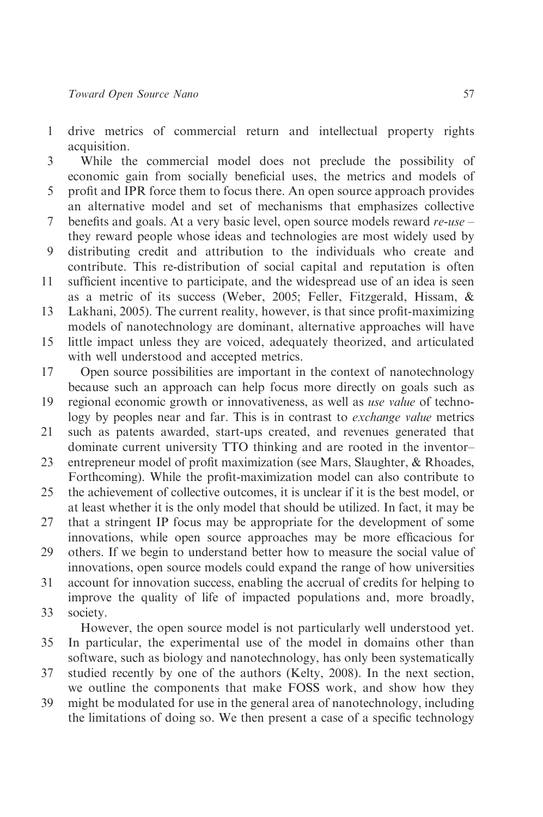- drive metrics of commercial return and intellectual property rights acquisition. 1
	- While the commercial model does not preclude the possibility of

- economic gain from socially beneficial uses, the metrics and models of profit and IPR force them to focus there. An open source approach provides an alternative model and set of mechanisms that emphasizes collective 5
- benefits and goals. At a very basic level, open source models reward re-use they reward people whose ideas and technologies are most widely used by 7
- distributing credit and attribution to the individuals who create and contribute. This re-distribution of social capital and reputation is often 9
- sufficient incentive to participate, and the widespread use of an idea is seen as a metric of its success (Weber, 2005; Feller, Fitzgerald, Hissam, & 11
- Lakhani, 2005). The current reality, however, is that since profit-maximizing models of nanotechnology are dominant, alternative approaches will have 13
- little impact unless they are voiced, adequately theorized, and articulated with well understood and accepted metrics. 15
- Open source possibilities are important in the context of nanotechnology because such an approach can help focus more directly on goals such as 17
- regional economic growth or innovativeness, as well as use value of technology by peoples near and far. This is in contrast to *exchange value* metrics 19
- such as patents awarded, start-ups created, and revenues generated that dominate current university TTO thinking and are rooted in the inventor– 21
- entrepreneur model of profit maximization (see Mars, Slaughter, & Rhoades, Forthcoming). While the profit-maximization model can also contribute to 23
- the achievement of collective outcomes, it is unclear if it is the best model, or at least whether it is the only model that should be utilized. In fact, it may be 25
- that a stringent IP focus may be appropriate for the development of some innovations, while open source approaches may be more efficacious for 27
- others. If we begin to understand better how to measure the social value of innovations, open source models could expand the range of how universities 29
- account for innovation success, enabling the accrual of credits for helping to improve the quality of life of impacted populations and, more broadly, society. 31 33

However, the open source model is not particularly well understood yet.

- In particular, the experimental use of the model in domains other than software, such as biology and nanotechnology, has only been systematically 35
- studied recently by one of the authors (Kelty, 2008). In the next section, we outline the components that make FOSS work, and show how they 37
- might be modulated for use in the general area of nanotechnology, including the limitations of doing so. We then present a case of a specific technology 39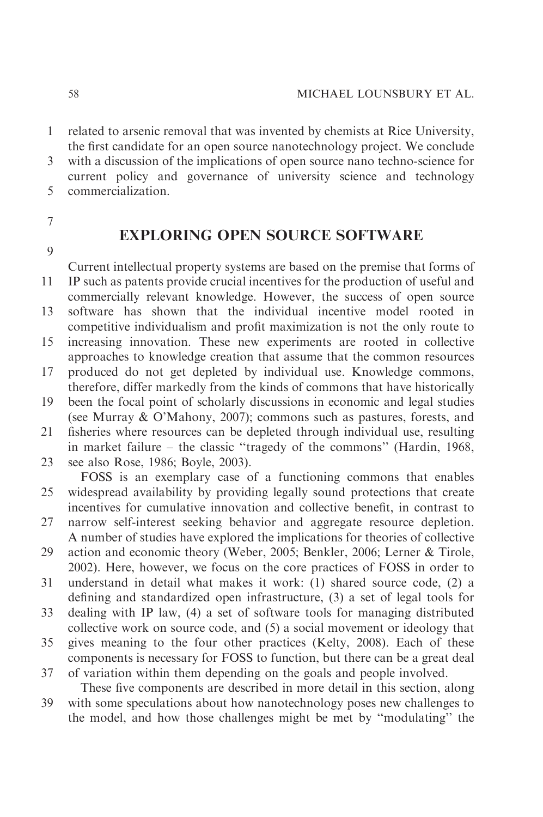- related to arsenic removal that was invented by chemists at Rice University, the first candidate for an open source nanotechnology project. We conclude 1
- with a discussion of the implications of open source nano techno-science for current policy and governance of university science and technology 3
- commercialization. 5
- 7

 $\overline{Q}$ 

- EXPLORING OPEN SOURCE SOFTWARE
- Current intellectual property systems are based on the premise that forms of IP such as patents provide crucial incentives for the production of useful and commercially relevant knowledge. However, the success of open source 11
- software has shown that the individual incentive model rooted in competitive individualism and profit maximization is not the only route to 13
- increasing innovation. These new experiments are rooted in collective approaches to knowledge creation that assume that the common resources 15
- produced do not get depleted by individual use. Knowledge commons, therefore, differ markedly from the kinds of commons that have historically 17
- been the focal point of scholarly discussions in economic and legal studies (see Murray & O'Mahony, 2007); commons such as pastures, forests, and 19
- fisheries where resources can be depleted through individual use, resulting in market failure – the classic ''tragedy of the commons'' (Hardin, 1968, 21
- see also Rose, 1986; Boyle, 2003). 23

FOSS is an exemplary case of a functioning commons that enables widespread availability by providing legally sound protections that create incentives for cumulative innovation and collective benefit, in contrast to 25

- narrow self-interest seeking behavior and aggregate resource depletion. A number of studies have explored the implications for theories of collective 27
- action and economic theory (Weber, 2005; Benkler, 2006; Lerner & Tirole, 2002). Here, however, we focus on the core practices of FOSS in order to 29
- understand in detail what makes it work: (1) shared source code, (2) a defining and standardized open infrastructure, (3) a set of legal tools for 31
- dealing with IP law, (4) a set of software tools for managing distributed collective work on source code, and (5) a social movement or ideology that 33
- gives meaning to the four other practices (Kelty, 2008). Each of these components is necessary for FOSS to function, but there can be a great deal 35
- of variation within them depending on the goals and people involved. These five components are described in more detail in this section, along 37
- with some speculations about how nanotechnology poses new challenges to the model, and how those challenges might be met by ''modulating'' the 39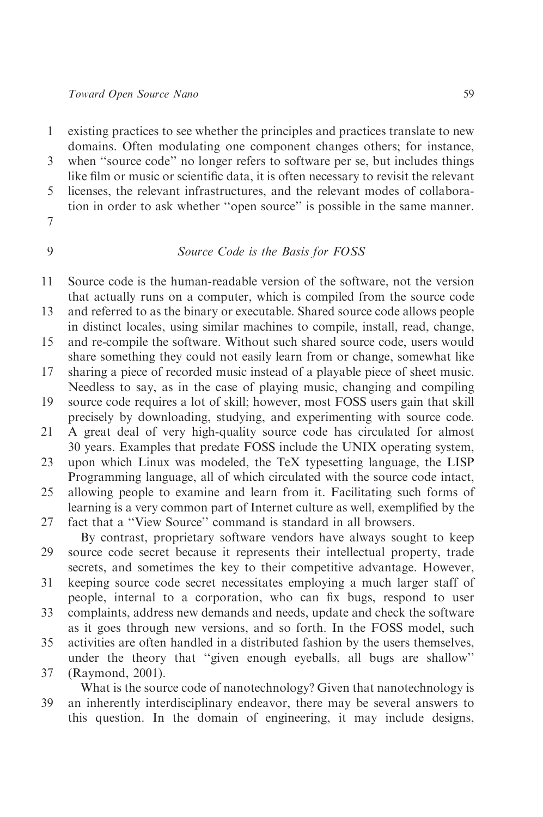- existing practices to see whether the principles and practices translate to new domains. Often modulating one component changes others; for instance, 1
- when "source code" no longer refers to software per se, but includes things like film or music or scientific data, it is often necessary to revisit the relevant 3
- licenses, the relevant infrastructures, and the relevant modes of collaboration in order to ask whether ''open source'' is possible in the same manner. 5
- 7

# Source Code is the Basis for FOSS

Source code is the human-readable version of the software, not the version that actually runs on a computer, which is compiled from the source code 11

and referred to as the binary or executable. Shared source code allows people in distinct locales, using similar machines to compile, install, read, change, 13

- and re-compile the software. Without such shared source code, users would share something they could not easily learn from or change, somewhat like 15
- sharing a piece of recorded music instead of a playable piece of sheet music. Needless to say, as in the case of playing music, changing and compiling 17
- source code requires a lot of skill; however, most FOSS users gain that skill precisely by downloading, studying, and experimenting with source code. A great deal of very high-quality source code has circulated for almost 19 21
- 30 years. Examples that predate FOSS include the UNIX operating system, upon which Linux was modeled, the TeX typesetting language, the LISP 23
- Programming language, all of which circulated with the source code intact,
- allowing people to examine and learn from it. Facilitating such forms of learning is a very common part of Internet culture as well, exemplified by the 25
- fact that a "View Source" command is standard in all browsers. By contrast, proprietary software vendors have always sought to keep 27
- source code secret because it represents their intellectual property, trade secrets, and sometimes the key to their competitive advantage. However, 29
- keeping source code secret necessitates employing a much larger staff of people, internal to a corporation, who can fix bugs, respond to user 31
- complaints, address new demands and needs, update and check the software as it goes through new versions, and so forth. In the FOSS model, such 33
- activities are often handled in a distributed fashion by the users themselves, under the theory that ''given enough eyeballs, all bugs are shallow'' 35
- (Raymond, 2001). 37

What is the source code of nanotechnology? Given that nanotechnology is an inherently interdisciplinary endeavor, there may be several answers to this question. In the domain of engineering, it may include designs, 39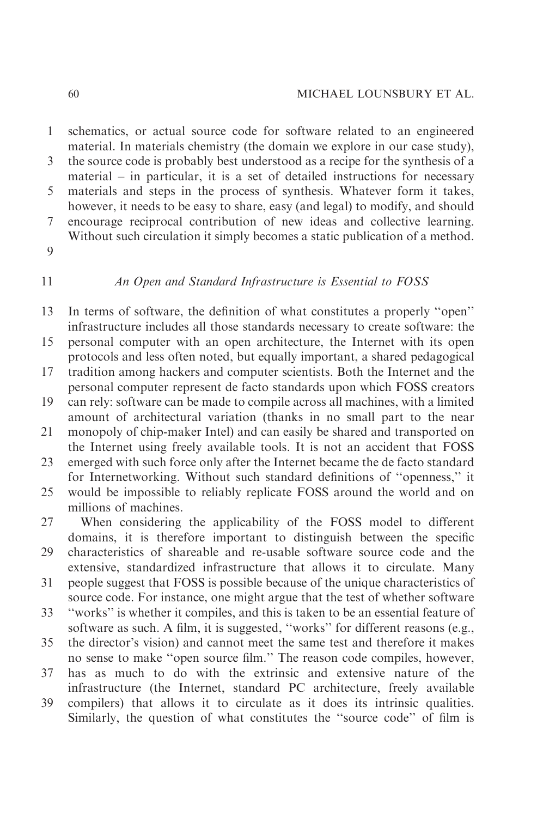- schematics, or actual source code for software related to an engineered material. In materials chemistry (the domain we explore in our case study), 1
- the source code is probably best understood as a recipe for the synthesis of a material – in particular, it is a set of detailed instructions for necessary 3
- materials and steps in the process of synthesis. Whatever form it takes, however, it needs to be easy to share, easy (and legal) to modify, and should 5
- encourage reciprocal contribution of new ideas and collective learning. Without such circulation it simply becomes a static publication of a method. 7
- $\overline{Q}$

# An Open and Standard Infrastructure is Essential to FOSS

In terms of software, the definition of what constitutes a properly ''open'' infrastructure includes all those standards necessary to create software: the 13

- personal computer with an open architecture, the Internet with its open protocols and less often noted, but equally important, a shared pedagogical 15
- tradition among hackers and computer scientists. Both the Internet and the personal computer represent de facto standards upon which FOSS creators 17
- can rely: software can be made to compile across all machines, with a limited amount of architectural variation (thanks in no small part to the near 19
- monopoly of chip-maker Intel) and can easily be shared and transported on the Internet using freely available tools. It is not an accident that FOSS 21
- emerged with such force only after the Internet became the de facto standard for Internetworking. Without such standard definitions of ''openness,'' it 23
- would be impossible to reliably replicate FOSS around the world and on millions of machines. 25
- When considering the applicability of the FOSS model to different domains, it is therefore important to distinguish between the specific 27
- characteristics of shareable and re-usable software source code and the extensive, standardized infrastructure that allows it to circulate. Many 29
- people suggest that FOSS is possible because of the unique characteristics of source code. For instance, one might argue that the test of whether software 31
- "works" is whether it compiles, and this is taken to be an essential feature of software as such. A film, it is suggested, ''works'' for different reasons (e.g., 33
- the director's vision) and cannot meet the same test and therefore it makes no sense to make ''open source film.'' The reason code compiles, however, 35
- has as much to do with the extrinsic and extensive nature of the infrastructure (the Internet, standard PC architecture, freely available 37
- compilers) that allows it to circulate as it does its intrinsic qualities. Similarly, the question of what constitutes the ''source code'' of film is 39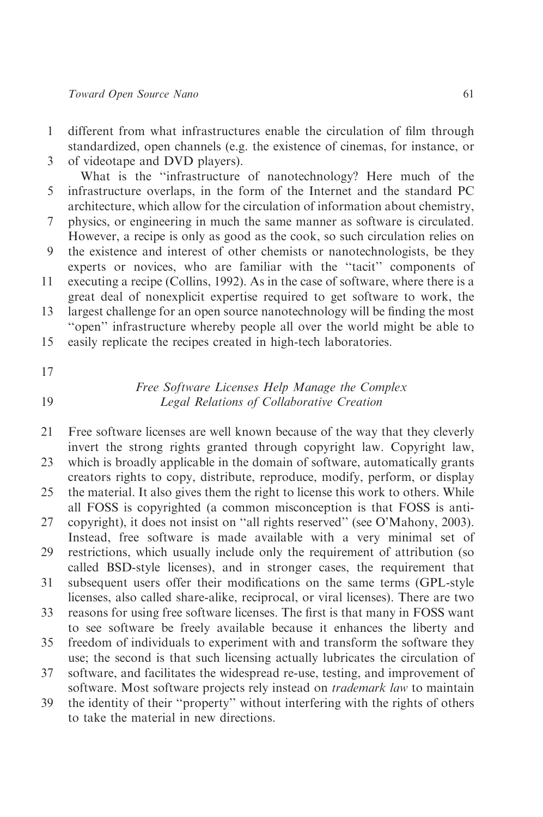- different from what infrastructures enable the circulation of film through standardized, open channels (e.g. the existence of cinemas, for instance, or of videotape and DVD players). 1 3
- What is the ''infrastructure of nanotechnology? Here much of the infrastructure overlaps, in the form of the Internet and the standard PC architecture, which allow for the circulation of information about chemistry, 5
- physics, or engineering in much the same manner as software is circulated. However, a recipe is only as good as the cook, so such circulation relies on 7
- the existence and interest of other chemists or nanotechnologists, be they experts or novices, who are familiar with the ''tacit'' components of 9
- executing a recipe (Collins, 1992). As in the case of software, where there is a great deal of nonexplicit expertise required to get software to work, the 11
- largest challenge for an open source nanotechnology will be finding the most ''open'' infrastructure whereby people all over the world might be able to 13
- easily replicate the recipes created in high-tech laboratories. 15
- 17

### Free Software Licenses Help Manage the Complex Legal Relations of Collaborative Creation

- Free software licenses are well known because of the way that they cleverly invert the strong rights granted through copyright law. Copyright law, 21
- which is broadly applicable in the domain of software, automatically grants creators rights to copy, distribute, reproduce, modify, perform, or display 23
- the material. It also gives them the right to license this work to others. While all FOSS is copyrighted (a common misconception is that FOSS is anti-25
- copyright), it does not insist on ''all rights reserved'' (see O'Mahony, 2003). Instead, free software is made available with a very minimal set of 27
- restrictions, which usually include only the requirement of attribution (so called BSD-style licenses), and in stronger cases, the requirement that 29
- subsequent users offer their modifications on the same terms (GPL-style licenses, also called share-alike, reciprocal, or viral licenses). There are two 31
- reasons for using free software licenses. The first is that many in FOSS want to see software be freely available because it enhances the liberty and 33
- freedom of individuals to experiment with and transform the software they use; the second is that such licensing actually lubricates the circulation of 35
- software, and facilitates the widespread re-use, testing, and improvement of software. Most software projects rely instead on *trademark law* to maintain 37
- the identity of their ''property'' without interfering with the rights of others to take the material in new directions. 39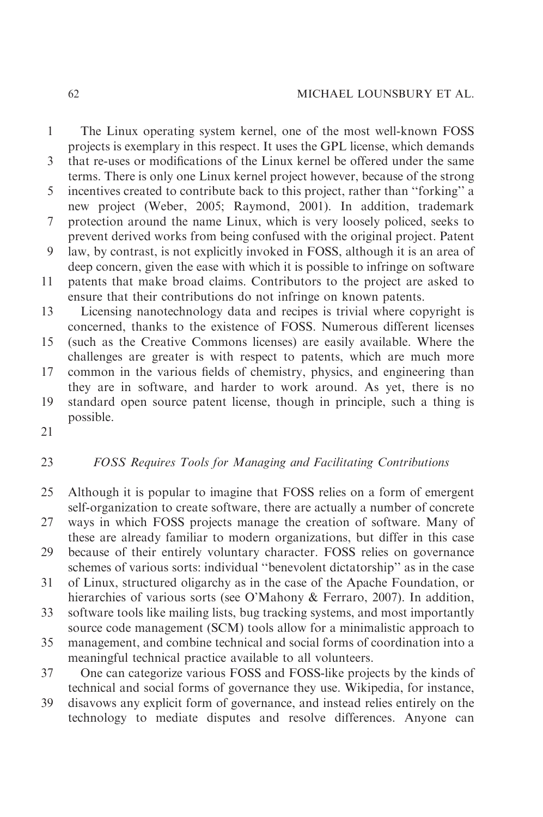- The Linux operating system kernel, one of the most well-known FOSS projects is exemplary in this respect. It uses the GPL license, which demands 1
- that re-uses or modifications of the Linux kernel be offered under the same terms. There is only one Linux kernel project however, because of the strong 3
- incentives created to contribute back to this project, rather than ''forking'' a new project (Weber, 2005; Raymond, 2001). In addition, trademark 5
- protection around the name Linux, which is very loosely policed, seeks to prevent derived works from being confused with the original project. Patent 7
- law, by contrast, is not explicitly invoked in FOSS, although it is an area of deep concern, given the ease with which it is possible to infringe on software 9
- patents that make broad claims. Contributors to the project are asked to ensure that their contributions do not infringe on known patents. 11
- Licensing nanotechnology data and recipes is trivial where copyright is concerned, thanks to the existence of FOSS. Numerous different licenses 13
- (such as the Creative Commons licenses) are easily available. Where the challenges are greater is with respect to patents, which are much more 15
- common in the various fields of chemistry, physics, and engineering than they are in software, and harder to work around. As yet, there is no 17
- standard open source patent license, though in principle, such a thing is possible. 19
- 21

#### FOSS Requires Tools for Managing and Facilitating Contributions 23

- Although it is popular to imagine that FOSS relies on a form of emergent self-organization to create software, there are actually a number of concrete 25
- ways in which FOSS projects manage the creation of software. Many of these are already familiar to modern organizations, but differ in this case 27
- because of their entirely voluntary character. FOSS relies on governance schemes of various sorts: individual ''benevolent dictatorship'' as in the case 29
- of Linux, structured oligarchy as in the case of the Apache Foundation, or hierarchies of various sorts (see O'Mahony & Ferraro, 2007). In addition, 31
- software tools like mailing lists, bug tracking systems, and most importantly source code management (SCM) tools allow for a minimalistic approach to 33
- management, and combine technical and social forms of coordination into a meaningful technical practice available to all volunteers. 35
- One can categorize various FOSS and FOSS-like projects by the kinds of technical and social forms of governance they use. Wikipedia, for instance, 37
- disavows any explicit form of governance, and instead relies entirely on the technology to mediate disputes and resolve differences. Anyone can 39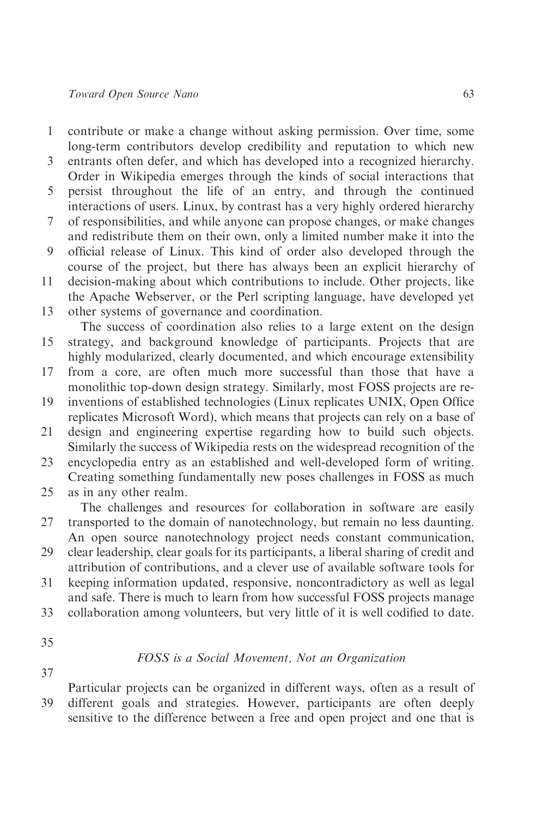- 
- contribute or make a change without asking permission. Over time, some long-term contributors develop credibility and reputation to which new 1
- entrants often defer, and which has developed into a recognized hierarchy. Order in Wikipedia emerges through the kinds of social interactions that 3
- persist throughout the life of an entry, and through the continued interactions of users. Linux, by contrast has a very highly ordered hierarchy 5
- of responsibilities, and while anyone can propose changes, or make changes and redistribute them on their own, only a limited number make it into the 7
- official release of Linux. This kind of order also developed through the course of the project, but there has always been an explicit hierarchy of 9
- decision-making about which contributions to include. Other projects, like the Apache Webserver, or the Perl scripting language, have developed yet 11
- other systems of governance and coordination. The success of coordination also relies to a large extent on the design 13
- strategy, and background knowledge of participants. Projects that are highly modularized, clearly documented, and which encourage extensibility 15
- from a core, are often much more successful than those that have a monolithic top-down design strategy. Similarly, most FOSS projects are re-17
- inventions of established technologies (Linux replicates UNIX, Open Office replicates Microsoft Word), which means that projects can rely on a base of 19
- design and engineering expertise regarding how to build such objects. Similarly the success of Wikipedia rests on the widespread recognition of the 21
- encyclopedia entry as an established and well-developed form of writing. Creating something fundamentally new poses challenges in FOSS as much 23
- as in any other realm. The challenges and resources for collaboration in software are easily 25
- transported to the domain of nanotechnology, but remain no less daunting. An open source nanotechnology project needs constant communication, 27
- clear leadership, clear goals for its participants, a liberal sharing of credit and attribution of contributions, and a clever use of available software tools for 29
- keeping information updated, responsive, noncontradictory as well as legal and safe. There is much to learn from how successful FOSS projects manage 31
- collaboration among volunteers, but very little of it is well codified to date. 33
- 35

### FOSS is a Social Movement, Not an Organization

37

Particular projects can be organized in different ways, often as a result of different goals and strategies. However, participants are often deeply sensitive to the difference between a free and open project and one that is 39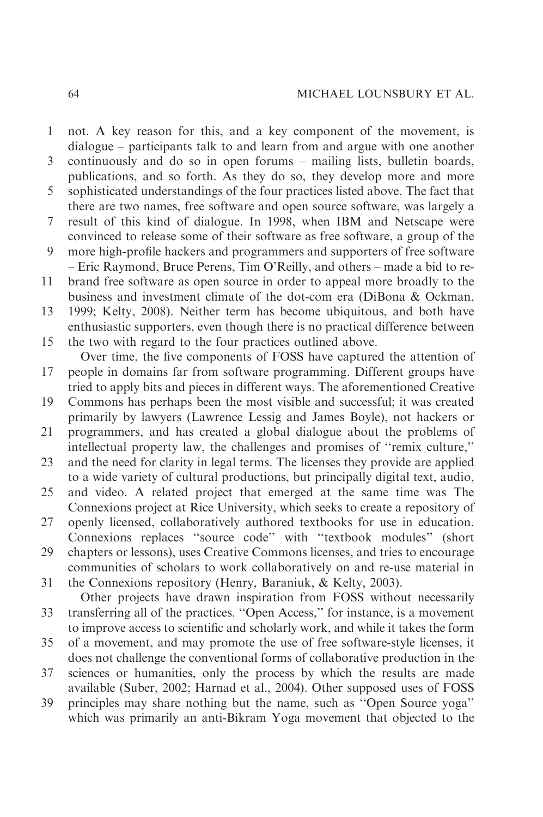- not. A key reason for this, and a key component of the movement, is dialogue – participants talk to and learn from and argue with one another 1
- continuously and do so in open forums mailing lists, bulletin boards, publications, and so forth. As they do so, they develop more and more 3
- sophisticated understandings of the four practices listed above. The fact that there are two names, free software and open source software, was largely a 5
- result of this kind of dialogue. In 1998, when IBM and Netscape were convinced to release some of their software as free software, a group of the 7
- more high-profile hackers and programmers and supporters of free software – Eric Raymond, Bruce Perens, Tim O'Reilly, and others – made a bid to re-9
- brand free software as open source in order to appeal more broadly to the business and investment climate of the dot-com era (DiBona & Ockman, 11
- 1999; Kelty, 2008). Neither term has become ubiquitous, and both have enthusiastic supporters, even though there is no practical difference between 13
- the two with regard to the four practices outlined above. Over time, the five components of FOSS have captured the attention of 15
- people in domains far from software programming. Different groups have tried to apply bits and pieces in different ways. The aforementioned Creative 17
- Commons has perhaps been the most visible and successful; it was created primarily by lawyers (Lawrence Lessig and James Boyle), not hackers or 19
- programmers, and has created a global dialogue about the problems of intellectual property law, the challenges and promises of ''remix culture,'' 21
- and the need for clarity in legal terms. The licenses they provide are applied to a wide variety of cultural productions, but principally digital text, audio, 23
- and video. A related project that emerged at the same time was The Connexions project at Rice University, which seeks to create a repository of 25
- openly licensed, collaboratively authored textbooks for use in education. Connexions replaces ''source code'' with ''textbook modules'' (short 27
- chapters or lessons), uses Creative Commons licenses, and tries to encourage communities of scholars to work collaboratively on and re-use material in 29
- the Connexions repository (Henry, Baraniuk, & Kelty, 2003). Other projects have drawn inspiration from FOSS without necessarily 31
- transferring all of the practices. ''Open Access,'' for instance, is a movement to improve access to scientific and scholarly work, and while it takes the form 33
- of a movement, and may promote the use of free software-style licenses, it does not challenge the conventional forms of collaborative production in the 35
- sciences or humanities, only the process by which the results are made available (Suber, 2002; Harnad et al., 2004). Other supposed uses of FOSS 37
- principles may share nothing but the name, such as ''Open Source yoga'' which was primarily an anti-Bikram Yoga movement that objected to the 39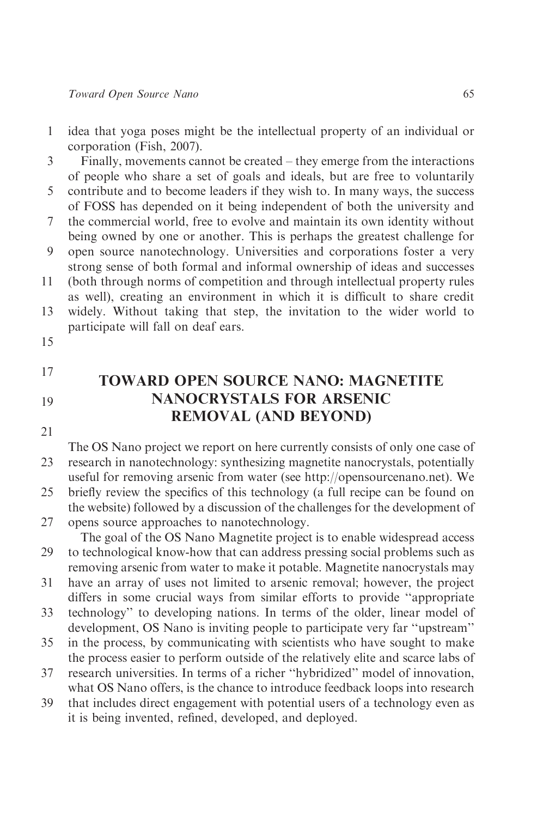corporation (Fish, 2007). Finally, movements cannot be created – they emerge from the interactions of people who share a set of goals and ideals, but are free to voluntarily contribute and to become leaders if they wish to. In many ways, the success of FOSS has depended on it being independent of both the university and the commercial world, free to evolve and maintain its own identity without being owned by one or another. This is perhaps the greatest challenge for open source nanotechnology. Universities and corporations foster a very strong sense of both formal and informal ownership of ideas and successes (both through norms of competition and through intellectual property rules as well), creating an environment in which it is difficult to share credit widely. Without taking that step, the invitation to the wider world to participate will fall on deaf ears. TOWARD OPEN SOURCE NANO: MAGNETITE NANOCRYSTALS FOR ARSENIC REMOVAL (AND BEYOND) The OS Nano project we report on here currently consists of only one case of research in nanotechnology: synthesizing magnetite nanocrystals, potentially useful for removing arsenic from water (see http://opensourcenano.net). We

idea that yoga poses might be the intellectual property of an individual or

- briefly review the specifics of this technology (a full recipe can be found on the website) followed by a discussion of the challenges for the development of 25
- opens source approaches to nanotechnology. The goal of the OS Nano Magnetite project is to enable widespread access 27
- to technological know-how that can address pressing social problems such as removing arsenic from water to make it potable. Magnetite nanocrystals may 29
- have an array of uses not limited to arsenic removal; however, the project differs in some crucial ways from similar efforts to provide ''appropriate 31
- technology'' to developing nations. In terms of the older, linear model of development, OS Nano is inviting people to participate very far ''upstream'' 33
- in the process, by communicating with scientists who have sought to make the process easier to perform outside of the relatively elite and scarce labs of 35
- research universities. In terms of a richer ''hybridized'' model of innovation, what OS Nano offers, is the chance to introduce feedback loops into research 37
- that includes direct engagement with potential users of a technology even as it is being invented, refined, developed, and deployed. 39

21

23

1

3

5

7

9

11

13

15

17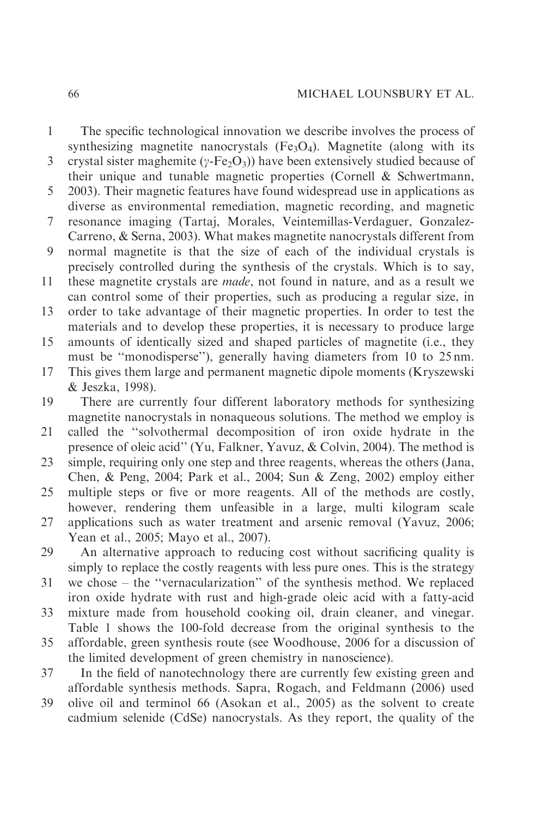- The specific technological innovation we describe involves the process of synthesizing magnetite nanocrystals (Fe<sub>3</sub>O<sub>4</sub>). Magnetite (along with its 1
- crystal sister maghemite ( $\gamma$ -Fe<sub>2</sub>O<sub>3</sub>)) have been extensively studied because of their unique and tunable magnetic properties (Cornell & Schwertmann, 3
- 2003). Their magnetic features have found widespread use in applications as diverse as environmental remediation, magnetic recording, and magnetic 5
- resonance imaging (Tartaj, Morales, Veintemillas-Verdaguer, Gonzalez-Carreno, & Serna, 2003). What makes magnetite nanocrystals different from 7
- normal magnetite is that the size of each of the individual crystals is precisely controlled during the synthesis of the crystals. Which is to say, 9
- these magnetite crystals are made, not found in nature, and as a result we can control some of their properties, such as producing a regular size, in 11
- order to take advantage of their magnetic properties. In order to test the materials and to develop these properties, it is necessary to produce large 13
- amounts of identically sized and shaped particles of magnetite (i.e., they must be ''monodisperse''), generally having diameters from 10 to 25 nm. 15
- This gives them large and permanent magnetic dipole moments (Kryszewski & Jeszka, 1998). 17
- There are currently four different laboratory methods for synthesizing magnetite nanocrystals in nonaqueous solutions. The method we employ is 19
- called the ''solvothermal decomposition of iron oxide hydrate in the presence of oleic acid'' (Yu, Falkner, Yavuz, & Colvin, 2004). The method is 21
- simple, requiring only one step and three reagents, whereas the others (Jana, Chen, & Peng, 2004; Park et al., 2004; Sun & Zeng, 2002) employ either 23
- multiple steps or five or more reagents. All of the methods are costly, however, rendering them unfeasible in a large, multi kilogram scale 25
- applications such as water treatment and arsenic removal (Yavuz, 2006; Yean et al., 2005; Mayo et al., 2007). 27
- An alternative approach to reducing cost without sacrificing quality is simply to replace the costly reagents with less pure ones. This is the strategy 29
- we chose the ''vernacularization'' of the synthesis method. We replaced iron oxide hydrate with rust and high-grade oleic acid with a fatty-acid 31
- mixture made from household cooking oil, drain cleaner, and vinegar. Table 1 shows the 100-fold decrease from the original synthesis to the 33
- affordable, green synthesis route (see Woodhouse, 2006 for a discussion of the limited development of green chemistry in nanoscience). 35
- In the field of nanotechnology there are currently few existing green and affordable synthesis methods. Sapra, Rogach, and Feldmann (2006) used 37
- olive oil and terminol 66 (Asokan et al., 2005) as the solvent to create cadmium selenide (CdSe) nanocrystals. As they report, the quality of the 39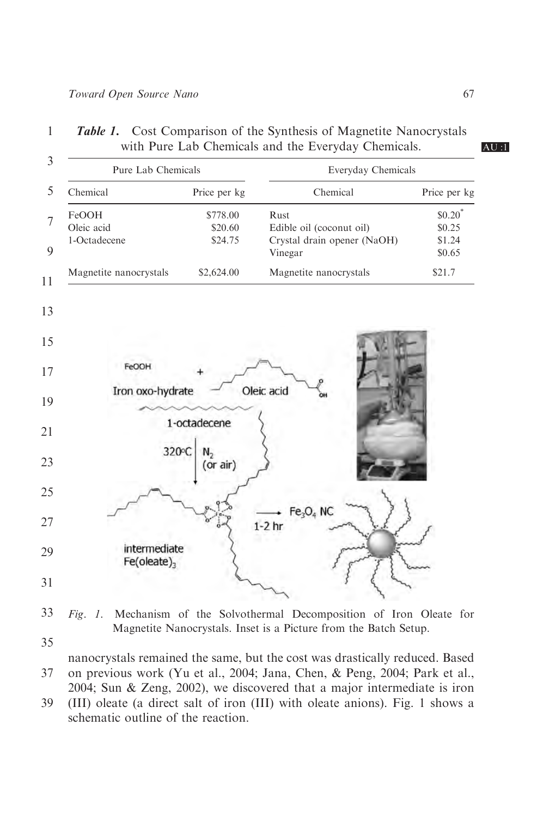| Pure Lab Chemicals                      |                                            | Everyday Chemicals                                                 |              |  |
|-----------------------------------------|--------------------------------------------|--------------------------------------------------------------------|--------------|--|
| Chemical                                | Chemical<br>Price per kg                   |                                                                    | Price per kg |  |
| FeOOH                                   | \$778.00                                   | \$0.20<br>Rust                                                     |              |  |
| Oleic acid                              | \$20.60                                    | Edible oil (coconut oil)<br>Crystal drain opener (NaOH)<br>Vinegar |              |  |
| 1-Octadecene                            | \$24.75                                    |                                                                    |              |  |
| Magnetite nanocrystals                  | \$2,624.00                                 | Magnetite nanocrystals                                             | \$21.7       |  |
| FeOOH<br>Iron oxo-hydrate               |                                            | Oleic acid                                                         |              |  |
| 320°C<br>intermediate<br>$Fe(oleate)_3$ | 1-octadecene<br>N <sub>2</sub><br>(or air) | Fe <sub>3</sub> O <sub>4</sub> NC<br>$1-2$ hr                      |              |  |

|  |                                                     |  | <b>Table 1.</b> Cost Comparison of the Synthesis of Magnetite Nanocrystals |      |
|--|-----------------------------------------------------|--|----------------------------------------------------------------------------|------|
|  | with Pure Lab Chemicals and the Everyday Chemicals. |  |                                                                            | AU:1 |



37

nanocrystals remained the same, but the cost was drastically reduced. Based on previous work (Yu et al., 2004; Jana, Chen, & Peng, 2004; Park et al.,

2004; Sun & Zeng, 2002), we discovered that a major intermediate is iron (III) oleate (a direct salt of iron (III) with oleate anions). Fig. 1 shows a 39

schematic outline of the reaction.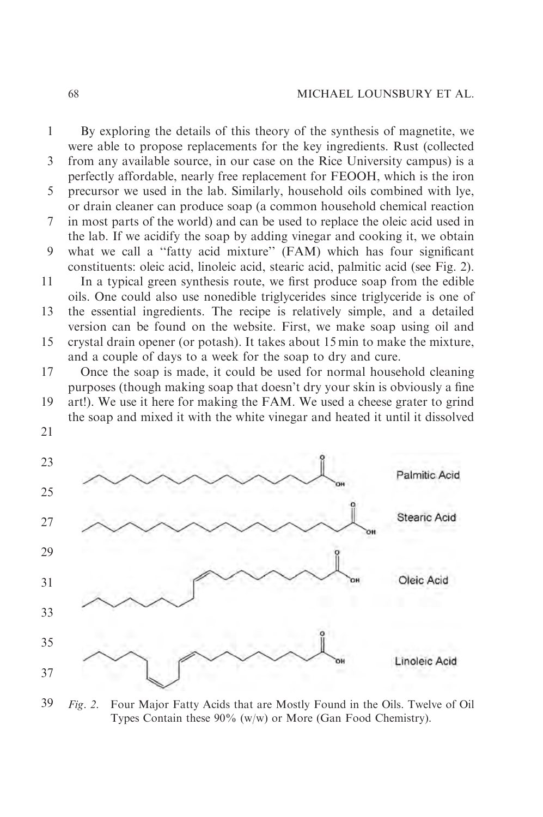

39 Fig. 2. Four Major Fatty Acids that are Mostly Found in the Oils. Twelve of Oil Types Contain these 90% (w/w) or More (Gan Food Chemistry).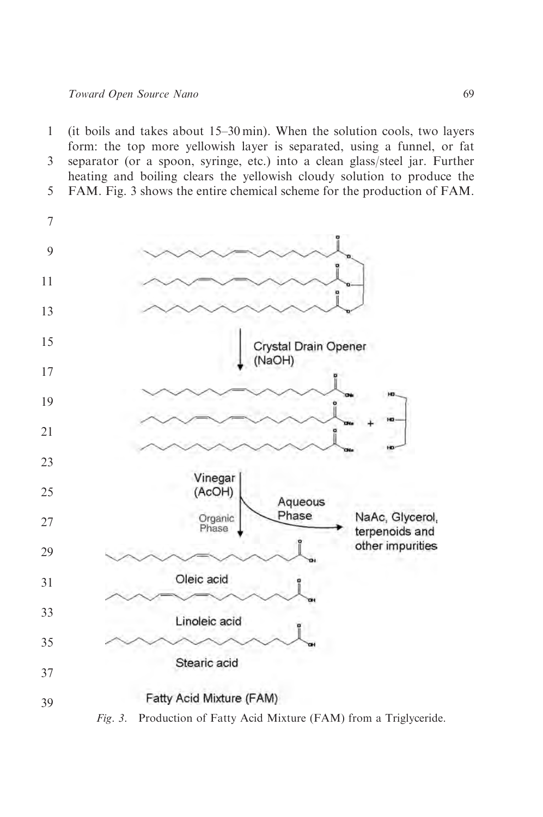#### Toward Open Source Nano 69

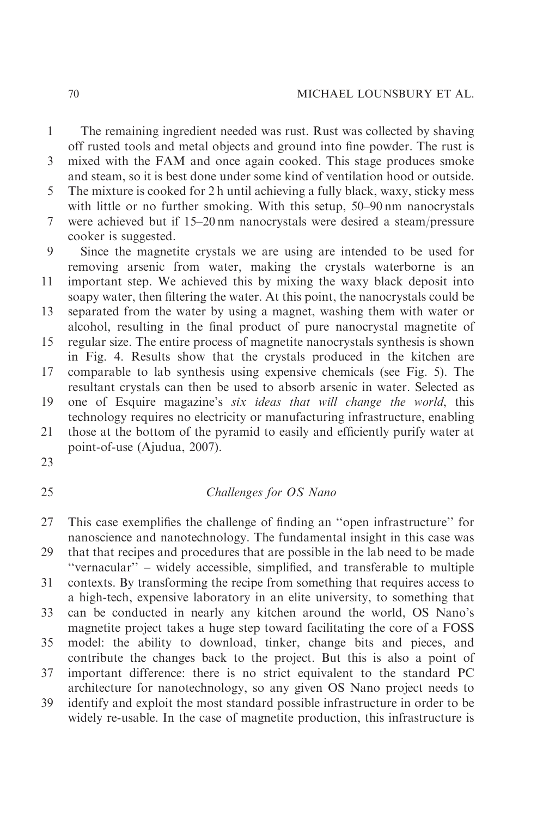- The remaining ingredient needed was rust. Rust was collected by shaving off rusted tools and metal objects and ground into fine powder. The rust is 1
- mixed with the FAM and once again cooked. This stage produces smoke and steam, so it is best done under some kind of ventilation hood or outside. 3
- The mixture is cooked for 2 h until achieving a fully black, waxy, sticky mess with little or no further smoking. With this setup, 50–90 nm nanocrystals 5
- were achieved but if 15–20 nm nanocrystals were desired a steam/pressure cooker is suggested. 7
- Since the magnetite crystals we are using are intended to be used for removing arsenic from water, making the crystals waterborne is an 9
- important step. We achieved this by mixing the waxy black deposit into soapy water, then filtering the water. At this point, the nanocrystals could be 11
- separated from the water by using a magnet, washing them with water or alcohol, resulting in the final product of pure nanocrystal magnetite of 13
- regular size. The entire process of magnetite nanocrystals synthesis is shown in Fig. 4. Results show that the crystals produced in the kitchen are 15
- comparable to lab synthesis using expensive chemicals (see Fig. 5). The resultant crystals can then be used to absorb arsenic in water. Selected as 17
- one of Esquire magazine's six ideas that will change the world, this technology requires no electricity or manufacturing infrastructure, enabling 19
- those at the bottom of the pyramid to easily and efficiently purify water at point-of-use (Ajudua, 2007). 21
- 23

### Challenges for OS Nano

- This case exemplifies the challenge of finding an ''open infrastructure'' for nanoscience and nanotechnology. The fundamental insight in this case was 27
- that that recipes and procedures that are possible in the lab need to be made ''vernacular'' – widely accessible, simplified, and transferable to multiple 29
- contexts. By transforming the recipe from something that requires access to a high-tech, expensive laboratory in an elite university, to something that 31
- can be conducted in nearly any kitchen around the world, OS Nano's magnetite project takes a huge step toward facilitating the core of a FOSS 33
- model: the ability to download, tinker, change bits and pieces, and contribute the changes back to the project. But this is also a point of 35
- important difference: there is no strict equivalent to the standard PC architecture for nanotechnology, so any given OS Nano project needs to 37
- identify and exploit the most standard possible infrastructure in order to be widely re-usable. In the case of magnetite production, this infrastructure is 39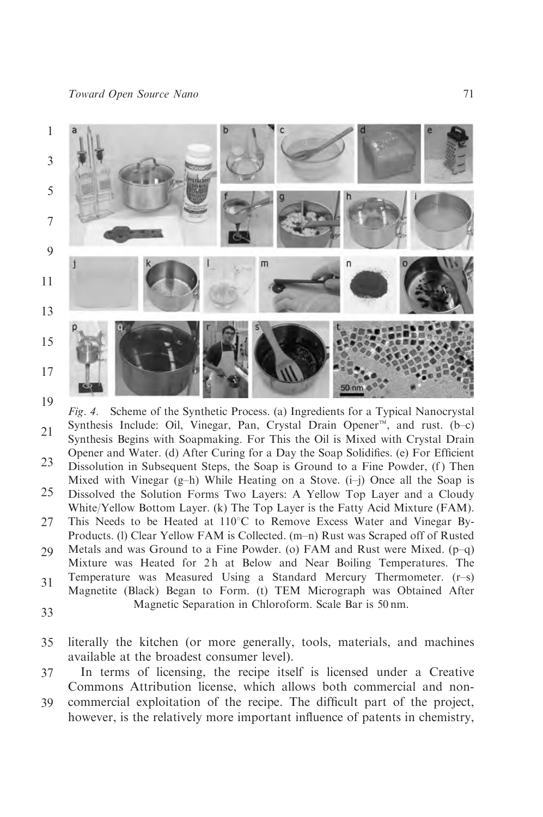

21 23 25 27 29 Fig. 4. Scheme of the Synthetic Process. (a) Ingredients for a Typical Nanocrystal Synthesis Include: Oil, Vinegar, Pan, Crystal Drain Opener<sup>™</sup>, and rust. (b–c) Synthesis Begins with Soapmaking. For This the Oil is Mixed with Crystal Drain Opener and Water. (d) After Curing for a Day the Soap Solidifies. (e) For Efficient Dissolution in Subsequent Steps, the Soap is Ground to a Fine Powder, (f) Then Mixed with Vinegar  $(g-h)$  While Heating on a Stove.  $(i-j)$  Once all the Soap is Dissolved the Solution Forms Two Layers: A Yellow Top Layer and a Cloudy White/Yellow Bottom Layer. (k) The Top Layer is the Fatty Acid Mixture (FAM). This Needs to be Heated at  $110^{\circ}$ C to Remove Excess Water and Vinegar By-Products. (l) Clear Yellow FAM is Collected. (m–n) Rust was Scraped off of Rusted Metals and was Ground to a Fine Powder. (o) FAM and Rust were Mixed.  $(p-q)$ Mixture was Heated for 2h at Below and Near Boiling Temperatures. The

- 31 Temperature was Measured Using a Standard Mercury Thermometer. (r–s) Magnetite (Black) Began to Form. (t) TEM Micrograph was Obtained After Magnetic Separation in Chloroform. Scale Bar is 50 nm.
- 33
- 
- literally the kitchen (or more generally, tools, materials, and machines available at the broadest consumer level). 35
- In terms of licensing, the recipe itself is licensed under a Creative Commons Attribution license, which allows both commercial and non-37
- commercial exploitation of the recipe. The difficult part of the project, however, is the relatively more important influence of patents in chemistry, 39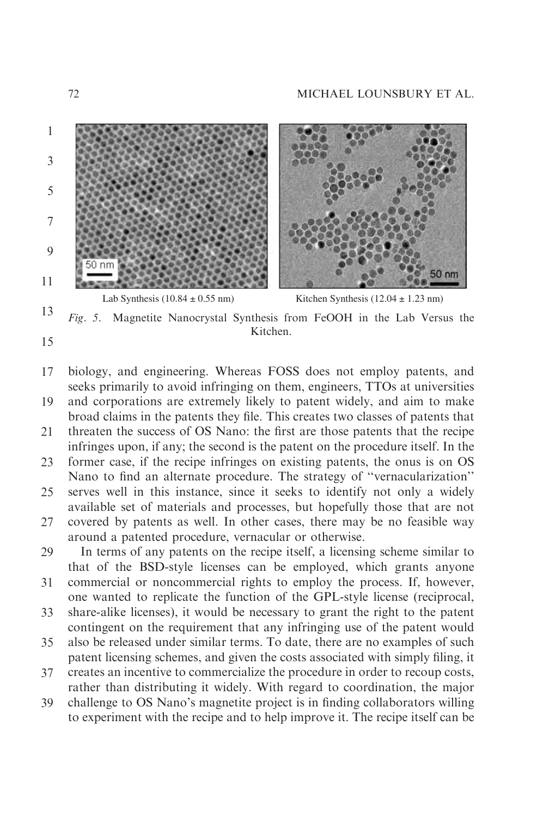

Fig. 5. Magnetite Nanocrystal Synthesis from FeOOH in the Lab Versus the Kitchen.

biology, and engineering. Whereas FOSS does not employ patents, and seeks primarily to avoid infringing on them, engineers, TTOs at universities 17

- and corporations are extremely likely to patent widely, and aim to make broad claims in the patents they file. This creates two classes of patents that threaten the success of OS Nano: the first are those patents that the recipe 19 21
- infringes upon, if any; the second is the patent on the procedure itself. In the former case, if the recipe infringes on existing patents, the onus is on OS 23
- Nano to find an alternate procedure. The strategy of ''vernacularization''
- serves well in this instance, since it seeks to identify not only a widely available set of materials and processes, but hopefully those that are not 25
- covered by patents as well. In other cases, there may be no feasible way around a patented procedure, vernacular or otherwise. 27
- In terms of any patents on the recipe itself, a licensing scheme similar to that of the BSD-style licenses can be employed, which grants anyone 29
- commercial or noncommercial rights to employ the process. If, however, one wanted to replicate the function of the GPL-style license (reciprocal, 31
- share-alike licenses), it would be necessary to grant the right to the patent contingent on the requirement that any infringing use of the patent would 33
- also be released under similar terms. To date, there are no examples of such patent licensing schemes, and given the costs associated with simply filing, it 35
- creates an incentive to commercialize the procedure in order to recoup costs, rather than distributing it widely. With regard to coordination, the major 37
- challenge to OS Nano's magnetite project is in finding collaborators willing to experiment with the recipe and to help improve it. The recipe itself can be 39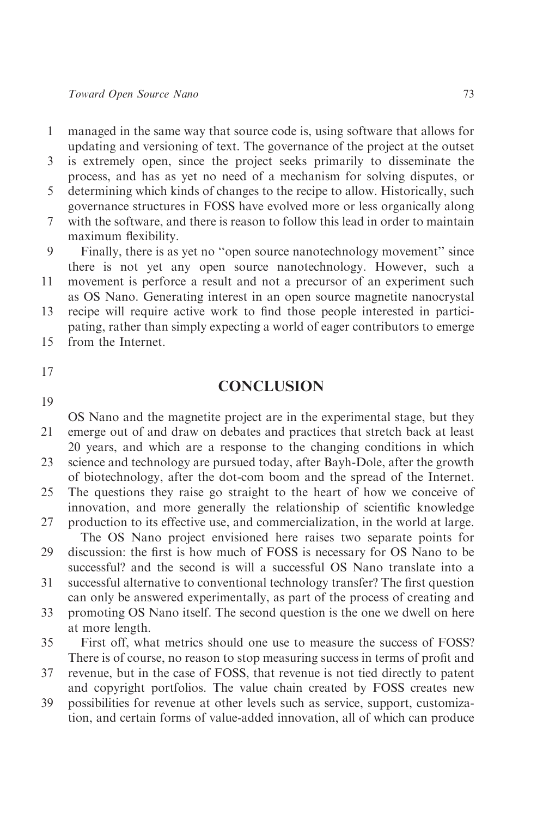- managed in the same way that source code is, using software that allows for updating and versioning of text. The governance of the project at the outset 1
- is extremely open, since the project seeks primarily to disseminate the process, and has as yet no need of a mechanism for solving disputes, or 3
- determining which kinds of changes to the recipe to allow. Historically, such governance structures in FOSS have evolved more or less organically along 5
- with the software, and there is reason to follow this lead in order to maintain maximum flexibility. 7
- Finally, there is as yet no ''open source nanotechnology movement'' since there is not yet any open source nanotechnology. However, such a 9
- movement is perforce a result and not a precursor of an experiment such as OS Nano. Generating interest in an open source magnetite nanocrystal 11
- recipe will require active work to find those people interested in participating, rather than simply expecting a world of eager contributors to emerge 13

from the Internet. 15

17

# **CONCLUSION**

19

OS Nano and the magnetite project are in the experimental stage, but they emerge out of and draw on debates and practices that stretch back at least 20 years, and which are a response to the changing conditions in which science and technology are pursued today, after Bayh-Dole, after the growth 21 23

- of biotechnology, after the dot-com boom and the spread of the Internet.
- The questions they raise go straight to the heart of how we conceive of innovation, and more generally the relationship of scientific knowledge 25
- production to its effective use, and commercialization, in the world at large. The OS Nano project envisioned here raises two separate points for 27
- discussion: the first is how much of FOSS is necessary for OS Nano to be successful? and the second is will a successful OS Nano translate into a 29
- successful alternative to conventional technology transfer? The first question can only be answered experimentally, as part of the process of creating and 31
- promoting OS Nano itself. The second question is the one we dwell on here at more length. 33
- First off, what metrics should one use to measure the success of FOSS? There is of course, no reason to stop measuring success in terms of profit and 35
- revenue, but in the case of FOSS, that revenue is not tied directly to patent and copyright portfolios. The value chain created by FOSS creates new 37
- possibilities for revenue at other levels such as service, support, customization, and certain forms of value-added innovation, all of which can produce 39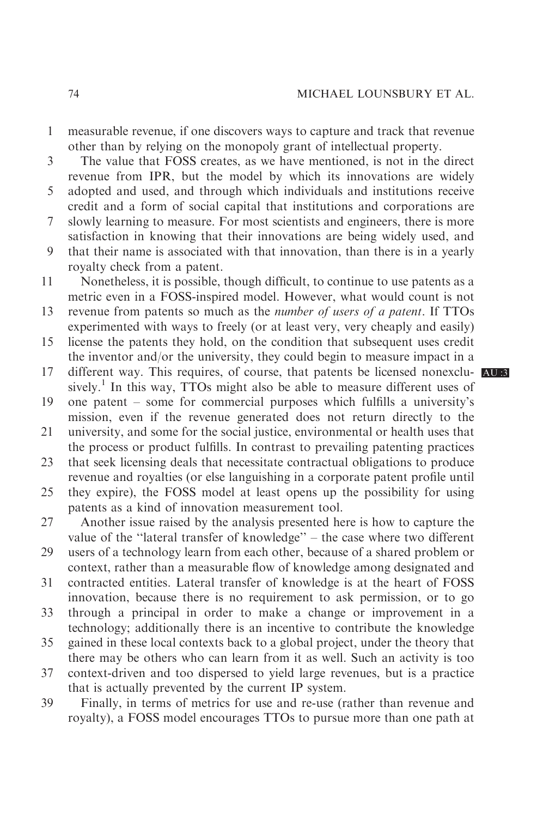- measurable revenue, if one discovers ways to capture and track that revenue other than by relying on the monopoly grant of intellectual property. 1
- The value that FOSS creates, as we have mentioned, is not in the direct revenue from IPR, but the model by which its innovations are widely 3
- adopted and used, and through which individuals and institutions receive credit and a form of social capital that institutions and corporations are 5
- slowly learning to measure. For most scientists and engineers, there is more satisfaction in knowing that their innovations are being widely used, and 7
- that their name is associated with that innovation, than there is in a yearly royalty check from a patent. 9
- Nonetheless, it is possible, though difficult, to continue to use patents as a metric even in a FOSS-inspired model. However, what would count is not 11
- revenue from patents so much as the *number of users of a patent*. If TTOs experimented with ways to freely (or at least very, very cheaply and easily) 13
- license the patents they hold, on the condition that subsequent uses credit the inventor and/or the university, they could begin to measure impact in a 15
- different way. This requires, of course, that patents be licensed nonexclu- AU :3 sively.<sup>1</sup> In this way, TTOs might also be able to measure different uses of 17
- one patent some for commercial purposes which fulfills a university's mission, even if the revenue generated does not return directly to the 19
- university, and some for the social justice, environmental or health uses that the process or product fulfills. In contrast to prevailing patenting practices 21
- that seek licensing deals that necessitate contractual obligations to produce revenue and royalties (or else languishing in a corporate patent profile until 23
- they expire), the FOSS model at least opens up the possibility for using patents as a kind of innovation measurement tool. 25
- Another issue raised by the analysis presented here is how to capture the value of the ''lateral transfer of knowledge'' – the case where two different 27
- users of a technology learn from each other, because of a shared problem or context, rather than a measurable flow of knowledge among designated and 29
- contracted entities. Lateral transfer of knowledge is at the heart of FOSS innovation, because there is no requirement to ask permission, or to go 31
- through a principal in order to make a change or improvement in a technology; additionally there is an incentive to contribute the knowledge 33
- gained in these local contexts back to a global project, under the theory that there may be others who can learn from it as well. Such an activity is too 35
- context-driven and too dispersed to yield large revenues, but is a practice that is actually prevented by the current IP system. 37
- Finally, in terms of metrics for use and re-use (rather than revenue and royalty), a FOSS model encourages TTOs to pursue more than one path at 39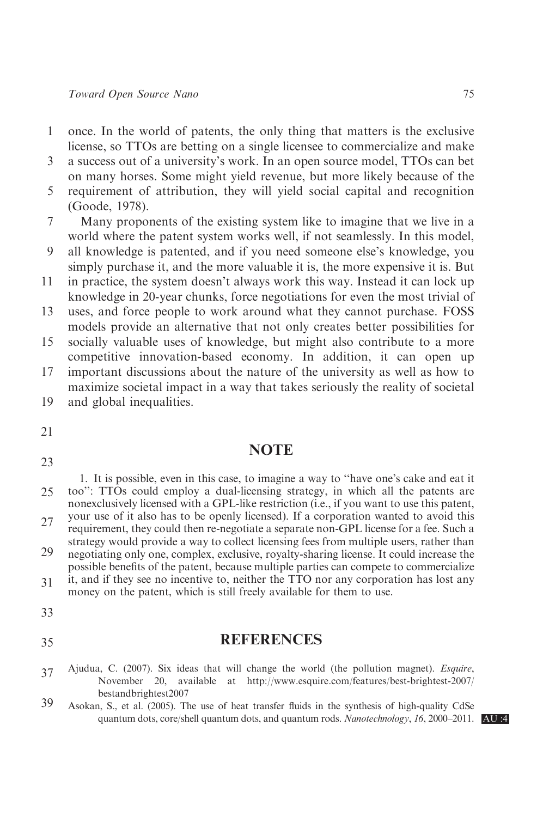- once. In the world of patents, the only thing that matters is the exclusive license, so TTOs are betting on a single licensee to commercialize and make 1
- a success out of a university's work. In an open source model, TTOs can bet on many horses. Some might yield revenue, but more likely because of the 3
- requirement of attribution, they will yield social capital and recognition (Goode, 1978). 5
- Many proponents of the existing system like to imagine that we live in a world where the patent system works well, if not seamlessly. In this model, 7
- all knowledge is patented, and if you need someone else's knowledge, you simply purchase it, and the more valuable it is, the more expensive it is. But 9
- in practice, the system doesn't always work this way. Instead it can lock up knowledge in 20-year chunks, force negotiations for even the most trivial of 11
- uses, and force people to work around what they cannot purchase. FOSS models provide an alternative that not only creates better possibilities for 13
- socially valuable uses of knowledge, but might also contribute to a more competitive innovation-based economy. In addition, it can open up 15
- important discussions about the nature of the university as well as how to maximize societal impact in a way that takes seriously the reality of societal 17
- and global inequalities. 19
- 21

### **NOTE**

1. It is possible, even in this case, to imagine a way to ''have one's cake and eat it too'': TTOs could employ a dual-licensing strategy, in which all the patents are nonexclusively licensed with a GPL-like restriction (i.e., if you want to use this patent, your use of it also has to be openly licensed). If a corporation wanted to avoid this requirement, they could then re-negotiate a separate non-GPL license for a fee. Such a strategy would provide a way to collect licensing fees from multiple users, rather than negotiating only one, complex, exclusive, royalty-sharing license. It could increase the possible benefits of the patent, because multiple parties can compete to commercialize it, and if they see no incentive to, neither the TTO nor any corporation has lost any 25 27 29 31

money on the patent, which is still freely available for them to use.

33

35

# **REFERENCES**

- Ajudua, C. (2007). Six ideas that will change the world (the pollution magnet). *Esquire*, November 20, available at http://www.esquire.com/features/best-brightest-2007/ bestandbrightest2007 37
- Asokan, S., et al. (2005). The use of heat transfer fluids in the synthesis of high-quality CdSe quantum dots, core/shell quantum dots, and quantum rods. Nanotechnology, 16, 2000–2011. AU :4 39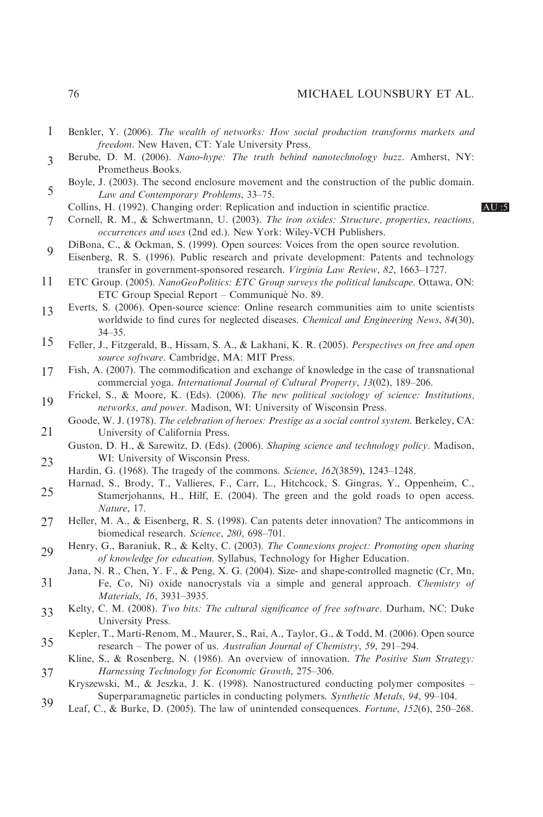#### 76 MICHAEL LOUNSBURY ET AL.

- Benkler, Y. (2006). The wealth of networks: How social production transforms markets and freedom. New Haven, CT: Yale University Press. 1
- Berube, D. M. (2006). Nano-hype: The truth behind nanotechnology buzz. Amherst, NY: Prometheus Books. 3
- Boyle, J. (2003). The second enclosure movement and the construction of the public domain. Law and Contemporary Problems, 33–75. 5
- Collins, H. (1992). Changing order: Replication and induction in scientific practice. AU :5
- Cornell, R. M., & Schwertmann, U. (2003). The iron oxides: Structure, properties, reactions, occurrences and uses (2nd ed.). New York: Wiley-VCH Publishers. 7
- DiBona, C., & Ockman, S. (1999). Open sources: Voices from the open source revolution. **9**
- Eisenberg, R. S. (1996). Public research and private development: Patents and technology transfer in government-sponsored research. Virginia Law Review, 82, 1663–1727.
- ETC Group. (2005). NanoGeoPolitics: ETC Group surveys the political landscape. Ottawa, ON: ETC Group Special Report – Communiqué No. 89. 11
- Everts, S. (2006). Open-source science: Online research communities aim to unite scientists worldwide to find cures for neglected diseases. Chemical and Engineering News, 84(30), 34–35. 13
- Feller, J., Fitzgerald, B., Hissam, S. A., & Lakhani, K. R. (2005). Perspectives on free and open source software. Cambridge, MA: MIT Press. 15
- Fish, A. (2007). The commodification and exchange of knowledge in the case of transnational commercial yoga. International Journal of Cultural Property, 13(02), 189-206. 17
- Frickel, S., & Moore, K. (Eds). (2006). The new political sociology of science: Institutions, networks, and power. Madison, WI: University of Wisconsin Press. 19
- Goode, W. J. (1978). The celebration of heroes: Prestige as a social control system. Berkeley, CA: University of California Press. 21
- Guston, D. H., & Sarewitz, D. (Eds). (2006). Shaping science and technology policy. Madison, WI: University of Wisconsin Press. 23
- Hardin, G. (1968). The tragedy of the commons. Science, 162(3859), 1243–1248.
- Harnad, S., Brody, T., Vallieres, F., Carr, L., Hitchcock, S. Gingras, Y., Oppenheim, C., Stamerjohanns, H., Hilf, E. (2004). The green and the gold roads to open access. Nature, 17. 25
- Heller, M. A., & Eisenberg, R. S. (1998). Can patents deter innovation? The anticommons in biomedical research. Science, 280, 698-701. 27
- Henry, G., Baraniuk, R., & Kelty, C. (2003). The Connexions project: Promoting open sharing of knowledge for education. Syllabus, Technology for Higher Education. 29
- Jana, N. R., Chen, Y. F., & Peng, X. G. (2004). Size- and shape-controlled magnetic (Cr, Mn, Fe, Co, Ni) oxide nanocrystals via a simple and general approach. Chemistry of Materials, 16, 3931–3935. 31
- Kelty, C. M. (2008). Two bits: The cultural significance of free software. Durham, NC: Duke University Press. 33
- Kepler, T., Marti-Renom, M., Maurer, S., Rai, A., Taylor, G., & Todd, M. (2006). Open source research – The power of us. Australian Journal of Chemistry, 59, 291–294. 35
- Kline, S., & Rosenberg, N. (1986). An overview of innovation. The Positive Sum Strategy: Harnessing Technology for Economic Growth, 275–306. 37
- Kryszewski, M., & Jeszka, J. K. (1998). Nanostructured conducting polymer composites Superparamagnetic particles in conducting polymers. Synthetic Metals, 94, 99–104. 39
- Leaf, C., & Burke, D. (2005). The law of unintended consequences. Fortune, 152(6), 250–268.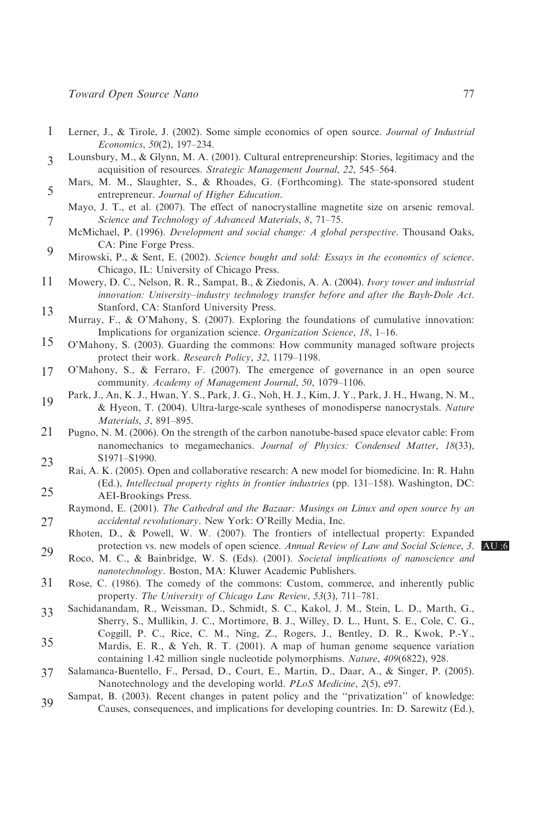- Lerner, J., & Tirole, J. (2002). Some simple economics of open source. Journal of Industrial Economics, 50(2), 197–234. 1
- Lounsbury, M., & Glynn, M. A. (2001). Cultural entrepreneurship: Stories, legitimacy and the acquisition of resources. Strategic Management Journal, 22, 545–564. 3
- Mars, M. M., Slaughter, S., & Rhoades, G. (Forthcoming). The state-sponsored student entrepreneur. Journal of Higher Education. 5
- Mayo, J. T., et al. (2007). The effect of nanocrystalline magnetite size on arsenic removal. Science and Technology of Advanced Materials, 8, 71–75. 7
- McMichael, P. (1996). Development and social change: A global perspective. Thousand Oaks, CA: Pine Forge Press. 9
- Mirowski, P., & Sent, E. (2002). Science bought and sold: Essays in the economics of science. Chicago, IL: University of Chicago Press.
- Mowery, D. C., Nelson, R. R., Sampat, B., & Ziedonis, A. A. (2004). Ivory tower and industrial innovation: University–industry technology transfer before and after the Bayh-Dole Act. Stanford, CA: Stanford University Press. 11 13
- Murray, F., & O'Mahony, S. (2007). Exploring the foundations of cumulative innovation: Implications for organization science. Organization Science, 18, 1–16.
- O'Mahony, S. (2003). Guarding the commons: How community managed software projects protect their work. Research Policy, 32, 1179–1198. 15
- O'Mahony, S., & Ferraro, F. (2007). The emergence of governance in an open source community. Academy of Management Journal, 50, 1079-1106. 17
- Park, J., An, K. J., Hwan, Y. S., Park, J. G., Noh, H. J., Kim, J. Y., Park, J. H., Hwang, N. M., & Hyeon, T. (2004). Ultra-large-scale syntheses of monodisperse nanocrystals. Nature Materials, 3, 891–895. 19
- Pugno, N. M. (2006). On the strength of the carbon nanotube-based space elevator cable: From nanomechanics to megamechanics. Journal of Physics: Condensed Matter, 18(33), S1971–S1990. 21 23
- Rai, A. K. (2005). Open and collaborative research: A new model for biomedicine. In: R. Hahn (Ed.), Intellectual property rights in frontier industries (pp. 131–158). Washington, DC: AEI-Brookings Press. 25
- Raymond, E. (2001). The Cathedral and the Bazaar: Musings on Linux and open source by an accidental revolutionary. New York: O'Reilly Media, Inc. 27
- Rhoten, D., & Powell, W. W. (2007). The frontiers of intellectual property: Expanded protection vs. new models of open science. Annual Review of Law and Social Science, 3. AU :6 29
- Roco, M. C., & Bainbridge, W. S. (Eds). (2001). Societal implications of nanoscience and nanotechnology. Boston, MA: Kluwer Academic Publishers.
- Rose, C. (1986). The comedy of the commons: Custom, commerce, and inherently public property. The University of Chicago Law Review, 53(3), 711–781. 31
- Sachidanandam, R., Weissman, D., Schmidt, S. C., Kakol, J. M., Stein, L. D., Marth, G., Sherry, S., Mullikin, J. C., Mortimore, B. J., Willey, D. L., Hunt, S. E., Cole, C. G., Coggill, P. C., Rice, C. M., Ning, Z., Rogers, J., Bentley, D. R., Kwok, P.-Y., 33
- Mardis, E. R., & Yeh, R. T. (2001). A map of human genome sequence variation containing 1.42 million single nucleotide polymorphisms. Nature, 409(6822), 928. 35
- Salamanca-Buentello, F., Persad, D., Court, E., Martin, D., Daar, A., & Singer, P. (2005). Nanotechnology and the developing world. PLoS Medicine, 2(5), e97. 37
- Sampat, B. (2003). Recent changes in patent policy and the ''privatization'' of knowledge: Causes, consequences, and implications for developing countries. In: D. Sarewitz (Ed.), 39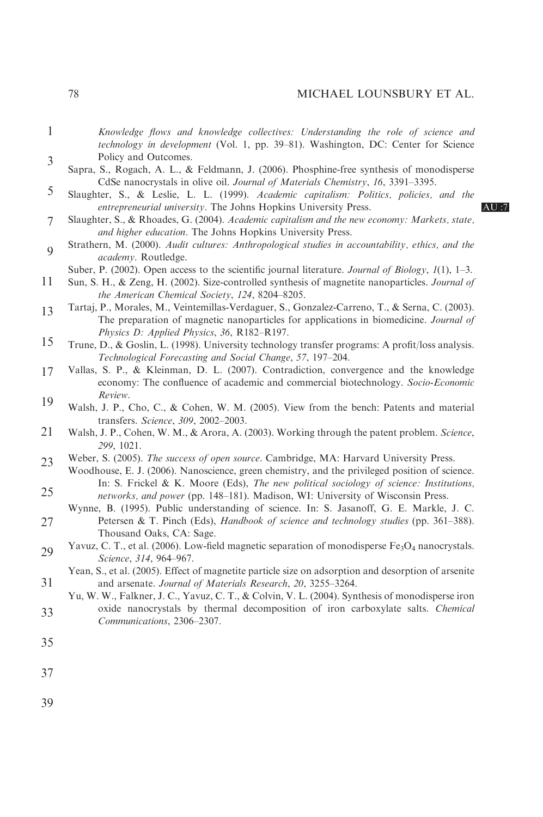#### 78 MICHAEL LOUNSBURY ET AL.

- Knowledge flows and knowledge collectives: Understanding the role of science and technology in development (Vol. 1, pp. 39–81). Washington, DC: Center for Science Policy and Outcomes. 1 3
- Sapra, S., Rogach, A. L., & Feldmann, J. (2006). Phosphine-free synthesis of monodisperse CdSe nanocrystals in olive oil. Journal of Materials Chemistry, 16, 3391–3395.
- Slaughter, S., & Leslie, L. L. (1999). Academic capitalism: Politics, policies, and the entrepreneurial university. The Johns Hopkins University Press. AU :7 5
- Slaughter, S., & Rhoades, G. (2004). Academic capitalism and the new economy: Markets, state, and higher education. The Johns Hopkins University Press. 7
- Strathern, M. (2000). Audit cultures: Anthropological studies in accountability, ethics, and the academy. Routledge.  $\overline{Q}$
- Suber, P. (2002). Open access to the scientific journal literature. Journal of Biology,  $I(1)$ , 1–3.
- Sun, S. H., & Zeng, H. (2002). Size-controlled synthesis of magnetite nanoparticles. Journal of the American Chemical Society, 124, 8204–8205. 11
- Tartaj, P., Morales, M., Veintemillas-Verdaguer, S., Gonzalez-Carreno, T., & Serna, C. (2003). The preparation of magnetic nanoparticles for applications in biomedicine. Journal of Physics D: Applied Physics, 36, R182–R197. 13
- Trune, D., & Goslin, L. (1998). University technology transfer programs: A profit/loss analysis. Technological Forecasting and Social Change, 57, 197–204. 15
- Vallas, S. P., & Kleinman, D. L. (2007). Contradiction, convergence and the knowledge economy: The confluence of academic and commercial biotechnology. Socio-Economic Review. 17 19
- Walsh, J. P., Cho, C., & Cohen, W. M. (2005). View from the bench: Patents and material transfers. Science, 309, 2002–2003.
- Walsh, J. P., Cohen, W. M., & Arora, A. (2003). Working through the patent problem. Science, 299, 1021. 21
- Weber, S. (2005). The success of open source. Cambridge, MA: Harvard University Press. Woodhouse, E. J. (2006). Nanoscience, green chemistry, and the privileged position of science. In: S. Frickel & K. Moore (Eds), The new political sociology of science: Institutions, 23 25
- networks, and power (pp. 148–181). Madison, WI: University of Wisconsin Press. Wynne, B. (1995). Public understanding of science. In: S. Jasanoff, G. E. Markle, J. C.
- Petersen & T. Pinch (Eds), Handbook of science and technology studies (pp. 361–388). Thousand Oaks, CA: Sage. 27
- Yavuz, C. T., et al. (2006). Low-field magnetic separation of monodisperse  $Fe<sub>3</sub>O<sub>4</sub>$  nanocrystals. Science, 314, 964–967. 29
- Yean, S., et al. (2005). Effect of magnetite particle size on adsorption and desorption of arsenite and arsenate. Journal of Materials Research, 20, 3255–3264. 31
- Yu, W. W., Falkner, J. C., Yavuz, C. T., & Colvin, V. L. (2004). Synthesis of monodisperse iron oxide nanocrystals by thermal decomposition of iron carboxylate salts. Chemical Communications, 2306–2307. 33
- 35

37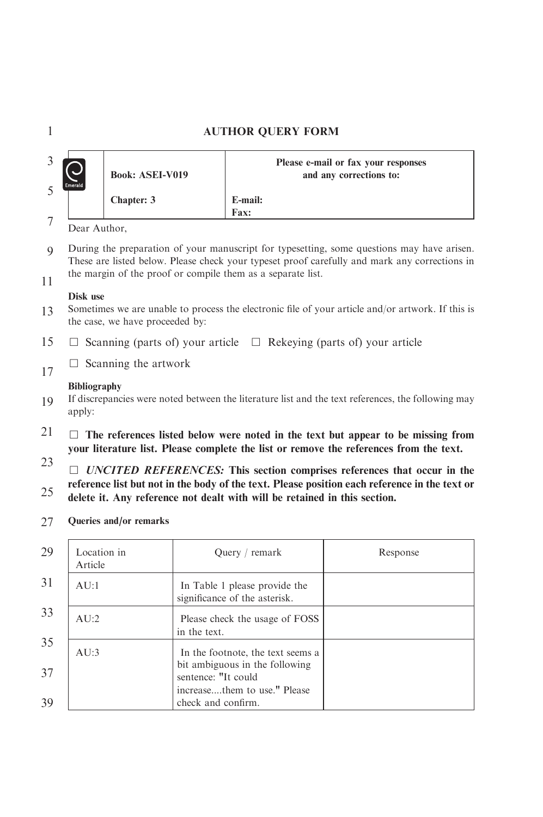### AUTHOR QUERY FORM

| Emera |
|-------|
|       |

| Id. | <b>Book: ASEI-V019</b> | Please e-mail or fax your responses<br>and any corrections to: |
|-----|------------------------|----------------------------------------------------------------|
|     | <b>Chapter: 3</b>      | E-mail:<br><b>Fax:</b>                                         |

7 Dear Author,

**9** 11 During the preparation of your manuscript for typesetting, some questions may have arisen. These are listed below. Please check your typeset proof carefully and mark any corrections in the margin of the proof or compile them as a separate list.

#### Disk use

- 13 Sometimes we are unable to process the electronic file of your article and/or artwork. If this is the case, we have proceeded by:
- 15  $\Box$  Scanning (parts of) your article  $\Box$  Rekeying (parts of) your article
- 17  $\Box$  Scanning the artwork

#### Bibliography

- 19 If discrepancies were noted between the literature list and the text references, the following may apply:
- 21  $\Box$  The references listed below were noted in the text but appear to be missing from your literature list. Please complete the list or remove the references from the text.
- 23 25  $\Box$  UNCITED REFERENCES: This section comprises references that occur in the reference list but not in the body of the text. Please position each reference in the text or delete it. Any reference not dealt with will be retained in this section.
- 27 Queries and/or remarks

| 29       | Location in<br>Article | Query / remark                                                                                                             | Response |
|----------|------------------------|----------------------------------------------------------------------------------------------------------------------------|----------|
| 31       | AI:1                   | In Table 1 please provide the<br>significance of the asterisk.                                                             |          |
| 33       | AU:2                   | Please check the usage of FOSS<br>in the text.                                                                             |          |
| 35<br>37 | AI:3                   | In the footnote, the text seems a<br>bit ambiguous in the following<br>sentence: "It could<br>increasethem to use." Please |          |
| 39       |                        | check and confirm.                                                                                                         |          |